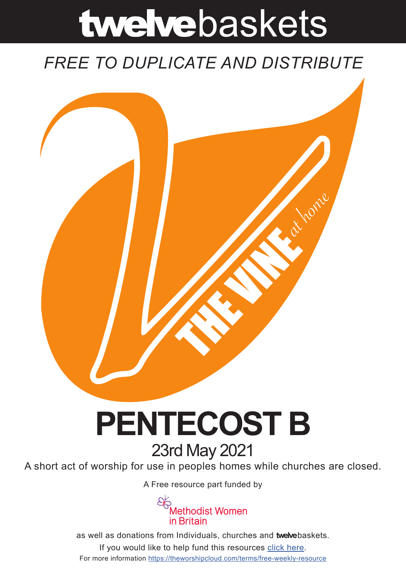# twelvebaskets

### *FREE TO DUPLICATE AND DISTRIBUTE*



## **PENTECOST B** 23rd May 2021

A short act of worship for use in peoples homes while churches are closed.

A Free resource part funded by



as well as donations from Individuals, churches and **twelve**baskets. If you would like to help fund this resources click here. For more information https://theworshipcloud.com/terms/free-weekly-resource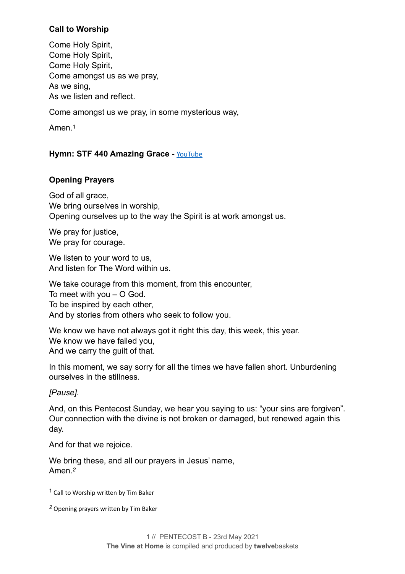#### **Call to Worship**

Come Holy Spirit, Come Holy Spirit, Come Holy Spirit, Come amongst us as we pray, As we sing, As we listen and reflect.

Come amongst us we pray, in some mysterious way,

<span id="page-1-2"></span>Amen.[1](#page-1-0)

#### **Hymn: STF 440 Amazing Grace - [YouTube](https://www.youtube.com/watch?v=21G3JMYwAiA)**

#### **Opening Prayers**

God of all grace, We bring ourselves in worship. Opening ourselves up to the way the Spirit is at work amongst us.

We pray for justice. We pray for courage.

We listen to your word to us, And listen for The Word within us.

We take courage from this moment, from this encounter, To meet with you – O God. To be inspired by each other, And by stories from others who seek to follow you.

We know we have not always got it right this day, this week, this year. We know we have failed you, And we carry the guilt of that.

In this moment, we say sorry for all the times we have fallen short. Unburdening ourselves in the stillness.

#### *[Pause].*

And, on this Pentecost Sunday, we hear you saying to us: "your sins are forgiven". Our connection with the divine is not broken or damaged, but renewed again this day.

And for that we rejoice.

<span id="page-1-3"></span>We bring these, and all our prayers in Jesus' name, Amen.*[2](#page-1-1)*

<span id="page-1-0"></span> $1$  Call to Worship written by Tim Baker

<span id="page-1-1"></span>Opening prayers written by Tim Baker *[2](#page-1-3)*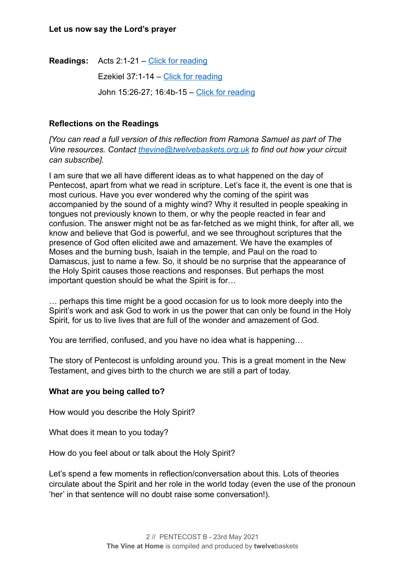**Readings:** Acts 2:1-21 – [Click for reading](https://www.biblegateway.com/passage/?search=Acts+2%253A1-21&version=NIV)

Ezekiel 37:1-14 – [Click for reading](https://www.biblegateway.com/passage/?search=Ezekiel+37%253A1-14&version=NIV)

John 15:26-27; 16:4b-15 – [Click for reading](https://www.biblegateway.com/passage/?search=John+15%253A26-27%253B+16%253A4b-15&version=NIV)

#### **Reflections on the Readings**

*[You can read a full version of this reflection from Ramona Samuel as part of The Vine resources. Contact [thevine@twelvebaskets.org.uk](mailto:thevine@twelvebaskets.org.uk) to find out how your circuit can subscribe].*

I am sure that we all have different ideas as to what happened on the day of Pentecost, apart from what we read in scripture. Let's face it, the event is one that is most curious. Have you ever wondered why the coming of the spirit was accompanied by the sound of a mighty wind? Why it resulted in people speaking in tongues not previously known to them, or why the people reacted in fear and confusion. The answer might not be as far-fetched as we might think, for after all, we know and believe that God is powerful, and we see throughout scriptures that the presence of God often elicited awe and amazement. We have the examples of Moses and the burning bush, Isaiah in the temple, and Paul on the road to Damascus, just to name a few. So, it should be no surprise that the appearance of the Holy Spirit causes those reactions and responses. But perhaps the most important question should be what the Spirit is for…

… perhaps this time might be a good occasion for us to look more deeply into the Spirit's work and ask God to work in us the power that can only be found in the Holy Spirit, for us to live lives that are full of the wonder and amazement of God.

You are terrified, confused, and you have no idea what is happening…

The story of Pentecost is unfolding around you. This is a great moment in the New Testament, and gives birth to the church we are still a part of today.

#### **What are you being called to?**

How would you describe the Holy Spirit?

What does it mean to you today?

How do you feel about or talk about the Holy Spirit?

Let's spend a few moments in reflection/conversation about this. Lots of theories circulate about the Spirit and her role in the world today (even the use of the pronoun 'her' in that sentence will no doubt raise some conversation!).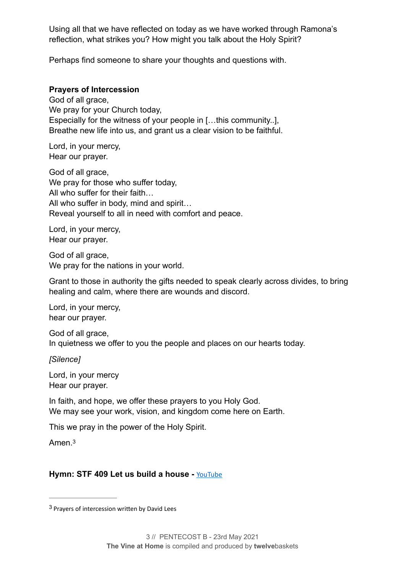Using all that we have reflected on today as we have worked through Ramona's reflection, what strikes you? How might you talk about the Holy Spirit?

Perhaps find someone to share your thoughts and questions with.

#### **Prayers of Intercession**

God of all grace, We pray for your Church today, Especially for the witness of your people in […this community..], Breathe new life into us, and grant us a clear vision to be faithful.

Lord, in your mercy, Hear our prayer.

God of all grace, We pray for those who suffer today, All who suffer for their faith… All who suffer in body, mind and spirit… Reveal yourself to all in need with comfort and peace.

Lord, in your mercy, Hear our prayer.

God of all grace, We pray for the nations in your world.

Grant to those in authority the gifts needed to speak clearly across divides, to bring healing and calm, where there are wounds and discord.

Lord, in your mercy, hear our prayer.

God of all grace. In quietness we offer to you the people and places on our hearts today.

*[Silence]*

Lord, in your mercy Hear our prayer.

In faith, and hope, we offer these prayers to you Holy God. We may see your work, vision, and kingdom come here on Earth.

This we pray in the power of the Holy Spirit.

<span id="page-3-1"></span>Amen.[3](#page-3-0)

#### **Hymn: STF 409 Let us build a house -** [YouTube](https://www.youtube.com/watch?v=eJR6EiO0pSk)

<span id="page-3-0"></span><sup>&</sup>lt;sup>[3](#page-3-1)</sup> Prayers of intercession written by David Lees